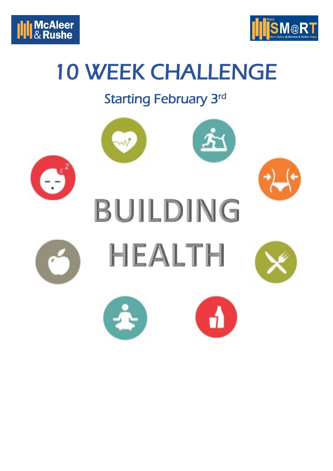



# 10 WEEK CHALLENGE

## Starting February 3rd

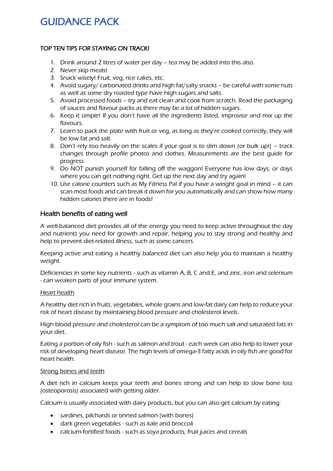### GUIDANCE PACK

#### TOP TEN TIPS FOR STAYING ON TRACK!

- 1. Drink around 2 litres of water per day tea may be added into this also.
- 2. Never skip meals!
- 3. Snack wisely! Fruit, veg, rice cakes, etc.
- 4. Avoid sugary/ carbonated drinks and high fat/salty snacks be careful with some nuts as well as some dry roasted type have high sugars and salts.
- 5. Avoid processed foods try and eat clean and cook from scratch. Read the packaging of sauces and flavour packs as there may be a lot of hidden sugars.
- 6. Keep it simple! If you don't have all the ingredients listed, improvise and mix up the flavours.
- 7. Learn to pack the plate with fruit or veg, as long as they're cooked correctly, they will be low fat and salt.
- 8. Don't rely too heavily on the scales if your goal is to slim down (or bulk up!) track changes through profile photos and clothes. Measurements are the best guide for progress.
- 9. Do NOT punish yourself for falling off the waggon! Everyone has low days, or days where you can get nothing right. Get up the next day and try again!
- 10. Use calorie counters such as My Fitness Pal if you have a weight goal in mind it can scan most foods and can break it down for you automatically and can show how many hidden calories there are in foods!

#### Health benefits of eating well

A well-balanced diet provides all of the energy you need to keep active throughout the day and nutrients you need for growth and repair, helping you to stay strong and healthy and help to prevent diet-related illness, such as some cancers.

Keeping active and eating a healthy balanced diet can also help you to maintain a healthy weight.

Deficiencies in some key nutrients - such as vitamin A, B, C and E, and zinc, iron and selenium - can weaken parts of your immune system.

#### Heart health

A healthy diet rich in fruits, vegetables, whole grains and low-fat dairy can help to reduce your risk of heart disease by maintaining blood pressure and cholesterol levels.

High blood pressure and cholesterol can be a symptom of too much salt and saturated fats in your diet.

Eating a portion of oily fish - such as salmon and trout - each week can also help to lower your risk of developing heart disease. The high levels of omega-3 fatty acids in oily fish are good for heart health.

#### Strong bones and teeth

A diet rich in calcium keeps your teeth and bones strong and can help to slow bone loss (osteoporosis) associated with getting older.

Calcium is usually associated with dairy products, but you can also get calcium by eating:

- sardines, pilchards or tinned salmon (with bones)
- dark green vegetables such as kale and broccoli
- calcium-fortified foods such as soya products, fruit juices and cereals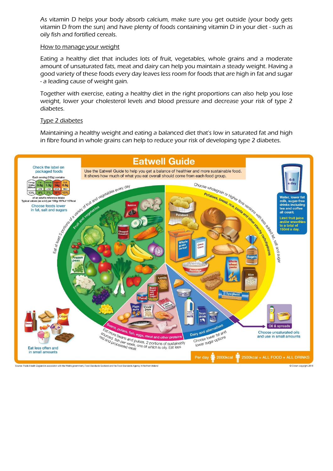As vitamin D helps your body absorb calcium, make sure you get outside (your body gets vitamin D from the sun) and have plenty of foods containing vitamin D in your diet - such as oily fish and fortified cereals.

#### How to manage your weight

Eating a healthy diet that includes lots of fruit, vegetables, whole grains and a moderate amount of unsaturated fats, meat and dairy can help you maintain a steady weight. Having a good variety of these foods every day leaves less room for foods that are high in fat and sugar - a leading cause of weight gain.

Together with exercise, eating a healthy diet in the right proportions can also help you lose weight, lower your cholesterol levels and blood pressure and decrease your risk of type 2 diabetes.

#### Type 2 diabetes

Maintaining a healthy weight and eating a balanced diet that's low in saturated fat and high in fibre found in whole grains can help to reduce your risk of developing type 2 diabetes.